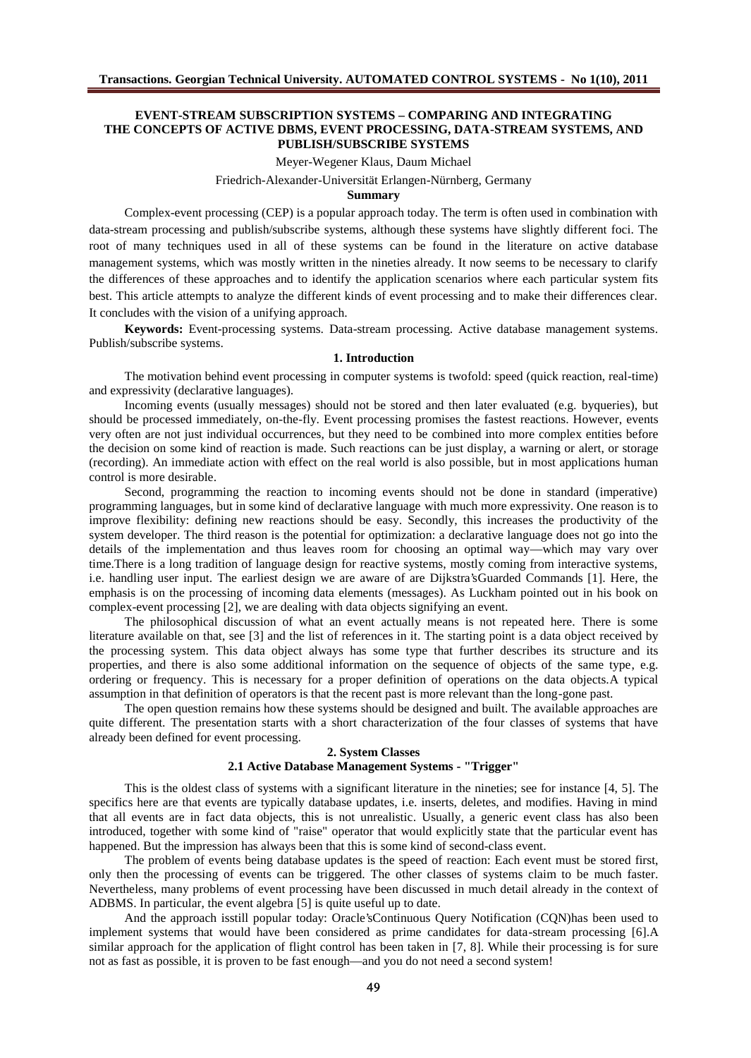### **EVENT-STREAM SUBSCRIPTION SYSTEMS – COMPARING AND INTEGRATING THE CONCEPTS OF ACTIVE DBMS, EVENT PROCESSING, DATA-STREAM SYSTEMS, AND PUBLISH/SUBSCRIBE SYSTEMS**

Meyer-Wegener Klaus, Daum Michael

Friedrich-Alexander-Universität Erlangen-Nürnberg, Germany

### **Summary**

Complex-event processing (CEP) is a popular approach today. The term is often used in combination with data-stream processing and publish/subscribe systems, although these systems have slightly different foci. The root of many techniques used in all of these systems can be found in the literature on active database management systems, which was mostly written in the nineties already. It now seems to be necessary to clarify the differences of these approaches and to identify the application scenarios where each particular system fits best. This article attempts to analyze the different kinds of event processing and to make their differences clear. It concludes with the vision of a unifying approach.

**Keywords:** Event-processing systems. Data-stream processing. Active database management systems. Publish/subscribe systems.

#### **1. Introduction**

The motivation behind event processing in computer systems is twofold: speed (quick reaction, real-time) and expressivity (declarative languages).

Incoming events (usually messages) should not be stored and then later evaluated (e.g. byqueries), but should be processed immediately, on-the-fly. Event processing promises the fastest reactions. However, events very often are not just individual occurrences, but they need to be combined into more complex entities before the decision on some kind of reaction is made. Such reactions can be just display, a warning or alert, or storage (recording). An immediate action with effect on the real world is also possible, but in most applications human control is more desirable.

Second, programming the reaction to incoming events should not be done in standard (imperative) programming languages, but in some kind of declarative language with much more expressivity. One reason is to improve flexibility: defining new reactions should be easy. Secondly, this increases the productivity of the system developer. The third reason is the potential for optimization: a declarative language does not go into the details of the implementation and thus leaves room for choosing an optimal way—which may vary over time.There is a long tradition of language design for reactive systems, mostly coming from interactive systems, i.e. handling user input. The earliest design we are aware of are Dijkstra'sGuarded Commands [1]. Here, the emphasis is on the processing of incoming data elements (messages). As Luckham pointed out in his book on complex-event processing [2], we are dealing with data objects signifying an event.

The philosophical discussion of what an event actually means is not repeated here. There is some literature available on that, see [3] and the list of references in it. The starting point is a data object received by the processing system. This data object always has some type that further describes its structure and its properties, and there is also some additional information on the sequence of objects of the same type, e.g. ordering or frequency. This is necessary for a proper definition of operations on the data objects.A typical assumption in that definition of operators is that the recent past is more relevant than the long-gone past.

The open question remains how these systems should be designed and built. The available approaches are quite different. The presentation starts with a short characterization of the four classes of systems that have already been defined for event processing.

### **2. System Classes 2.1 Active Database Management Systems - "Trigger"**

This is the oldest class of systems with a significant literature in the nineties; see for instance [4, 5]. The specifics here are that events are typically database updates, i.e. inserts, deletes, and modifies. Having in mind that all events are in fact data objects, this is not unrealistic. Usually, a generic event class has also been introduced, together with some kind of "raise" operator that would explicitly state that the particular event has happened. But the impression has always been that this is some kind of second-class event.

The problem of events being database updates is the speed of reaction: Each event must be stored first, only then the processing of events can be triggered. The other classes of systems claim to be much faster. Nevertheless, many problems of event processing have been discussed in much detail already in the context of ADBMS. In particular, the event algebra [5] is quite useful up to date.

And the approach isstill popular today: Oracle'sContinuous Query Notification (CQN)has been used to implement systems that would have been considered as prime candidates for data-stream processing [6].A similar approach for the application of flight control has been taken in [7, 8]. While their processing is for sure not as fast as possible, it is proven to be fast enough—and you do not need a second system!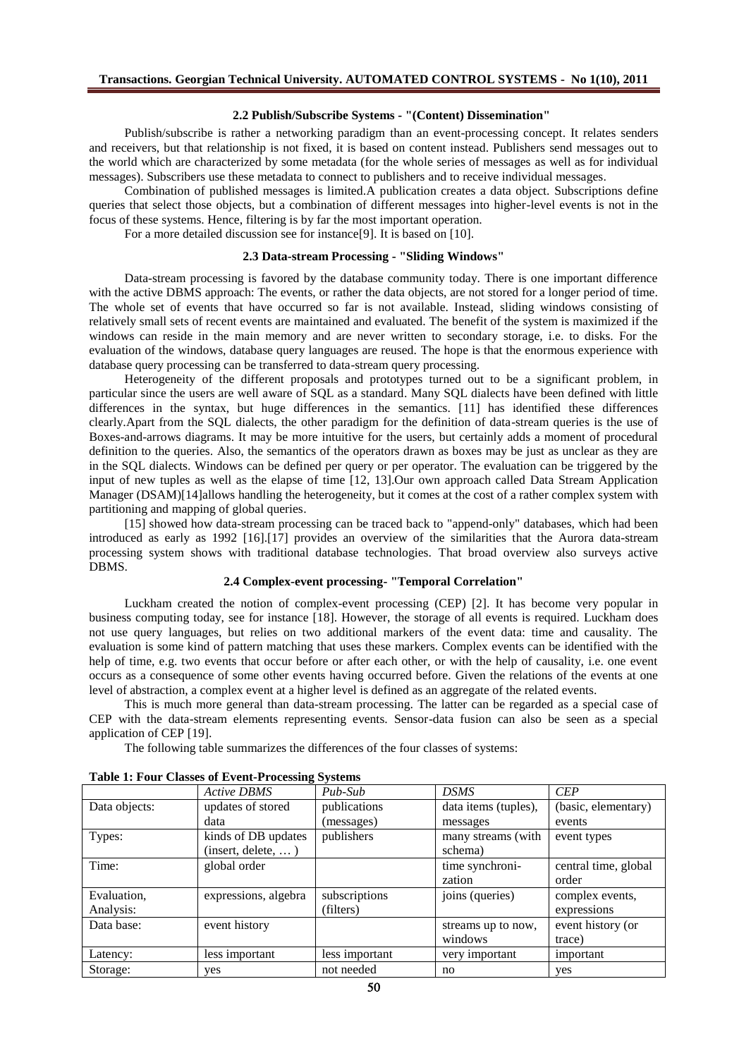#### **2.2 Publish/Subscribe Systems - "(Content) Dissemination"**

Publish/subscribe is rather a networking paradigm than an event-processing concept. It relates senders and receivers, but that relationship is not fixed, it is based on content instead. Publishers send messages out to the world which are characterized by some metadata (for the whole series of messages as well as for individual messages). Subscribers use these metadata to connect to publishers and to receive individual messages.

Combination of published messages is limited.A publication creates a data object. Subscriptions define queries that select those objects, but a combination of different messages into higher-level events is not in the focus of these systems. Hence, filtering is by far the most important operation.

For a more detailed discussion see for instance[9]. It is based on [10].

# **2.3 Data-stream Processing - "Sliding Windows"**

Data-stream processing is favored by the database community today. There is one important difference with the active DBMS approach: The events, or rather the data objects, are not stored for a longer period of time. The whole set of events that have occurred so far is not available. Instead, sliding windows consisting of relatively small sets of recent events are maintained and evaluated. The benefit of the system is maximized if the windows can reside in the main memory and are never written to secondary storage, i.e. to disks. For the evaluation of the windows, database query languages are reused. The hope is that the enormous experience with database query processing can be transferred to data-stream query processing.

Heterogeneity of the different proposals and prototypes turned out to be a significant problem, in particular since the users are well aware of SQL as a standard. Many SQL dialects have been defined with little differences in the syntax, but huge differences in the semantics. [11] has identified these differences clearly.Apart from the SQL dialects, the other paradigm for the definition of data-stream queries is the use of Boxes-and-arrows diagrams. It may be more intuitive for the users, but certainly adds a moment of procedural definition to the queries. Also, the semantics of the operators drawn as boxes may be just as unclear as they are in the SQL dialects. Windows can be defined per query or per operator. The evaluation can be triggered by the input of new tuples as well as the elapse of time [12, 13].Our own approach called Data Stream Application Manager (DSAM)[14]allows handling the heterogeneity, but it comes at the cost of a rather complex system with partitioning and mapping of global queries.

[15] showed how data-stream processing can be traced back to "append-only" databases, which had been introduced as early as 1992 [16].[17] provides an overview of the similarities that the Aurora data-stream processing system shows with traditional database technologies. That broad overview also surveys active DBMS.

### **2.4 Complex-event processing- "Temporal Correlation"**

Luckham created the notion of complex-event processing (CEP) [2]. It has become very popular in business computing today, see for instance [18]. However, the storage of all events is required. Luckham does not use query languages, but relies on two additional markers of the event data: time and causality. The evaluation is some kind of pattern matching that uses these markers. Complex events can be identified with the help of time, e.g. two events that occur before or after each other, or with the help of causality, i.e. one event occurs as a consequence of some other events having occurred before. Given the relations of the events at one level of abstraction, a complex event at a higher level is defined as an aggregate of the related events.

This is much more general than data-stream processing. The latter can be regarded as a special case of CEP with the data-stream elements representing events. Sensor-data fusion can also be seen as a special application of CEP [19].

The following table summarizes the differences of the four classes of systems:

|               | <b>Active DBMS</b>   | Pub-Sub        | <b>DSMS</b>          | <b>CEP</b>           |
|---------------|----------------------|----------------|----------------------|----------------------|
| Data objects: | updates of stored    | publications   | data items (tuples), | (basic, elementary)  |
|               | data                 | (messages)     | messages             | events               |
| Types:        | kinds of DB updates  | publishers     | many streams (with   | event types          |
|               | (inset, delete, )    |                | schema)              |                      |
| Time:         | global order         |                | time synchroni-      | central time, global |
|               |                      |                | zation               | order                |
| Evaluation,   | expressions, algebra | subscriptions  | joins (queries)      | complex events,      |
| Analysis:     |                      | (filters)      |                      | expressions          |
| Data base:    | event history        |                | streams up to now,   | event history (or    |
|               |                      |                | windows              | trace)               |
| Latency:      | less important       | less important | very important       | important            |
| Storage:      | yes                  | not needed     | no                   | yes                  |

### **Table 1: Four Classes of Event-Processing Systems**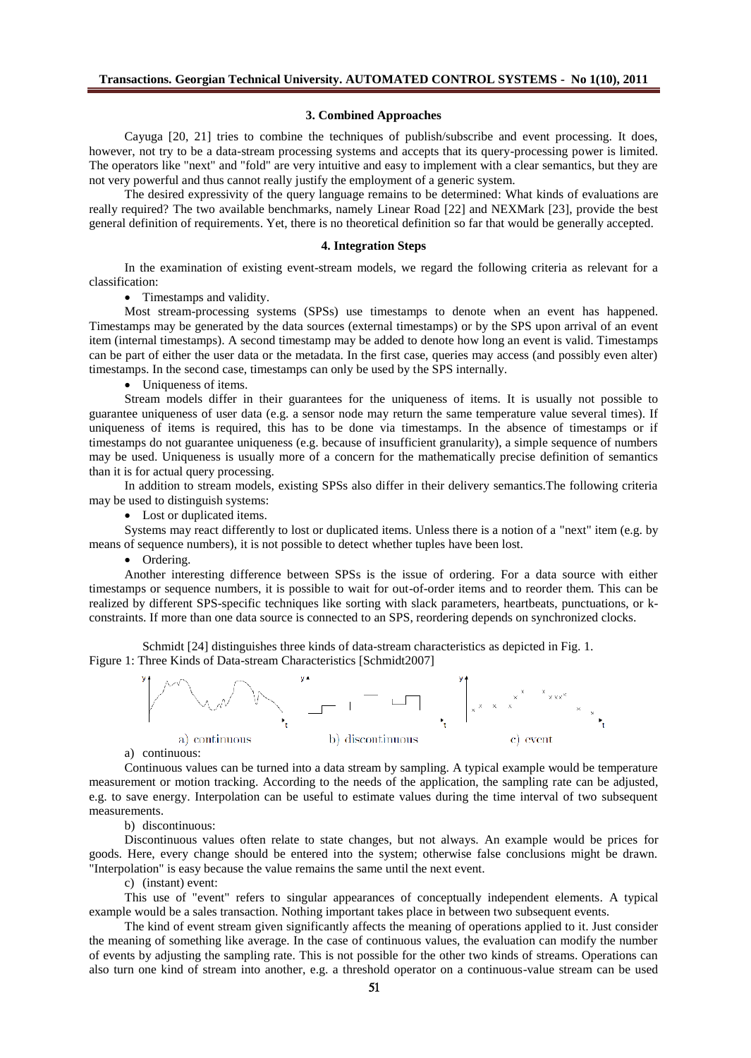#### **3. Combined Approaches**

Cayuga [20, 21] tries to combine the techniques of publish/subscribe and event processing. It does, however, not try to be a data-stream processing systems and accepts that its query-processing power is limited. The operators like "next" and "fold" are very intuitive and easy to implement with a clear semantics, but they are not very powerful and thus cannot really justify the employment of a generic system.

The desired expressivity of the query language remains to be determined: What kinds of evaluations are really required? The two available benchmarks, namely Linear Road [22] and NEXMark [23], provide the best general definition of requirements. Yet, there is no theoretical definition so far that would be generally accepted.

#### **4. Integration Steps**

In the examination of existing event-stream models, we regard the following criteria as relevant for a classification:

• Timestamps and validity.

Most stream-processing systems (SPSs) use timestamps to denote when an event has happened. Timestamps may be generated by the data sources (external timestamps) or by the SPS upon arrival of an event item (internal timestamps). A second timestamp may be added to denote how long an event is valid. Timestamps can be part of either the user data or the metadata. In the first case, queries may access (and possibly even alter) timestamps. In the second case, timestamps can only be used by the SPS internally.

Uniqueness of items.

Stream models differ in their guarantees for the uniqueness of items. It is usually not possible to guarantee uniqueness of user data (e.g. a sensor node may return the same temperature value several times). If uniqueness of items is required, this has to be done via timestamps. In the absence of timestamps or if timestamps do not guarantee uniqueness (e.g. because of insufficient granularity), a simple sequence of numbers may be used. Uniqueness is usually more of a concern for the mathematically precise definition of semantics than it is for actual query processing.

In addition to stream models, existing SPSs also differ in their delivery semantics.The following criteria may be used to distinguish systems:

• Lost or duplicated items.

Systems may react differently to lost or duplicated items. Unless there is a notion of a "next" item (e.g. by means of sequence numbers), it is not possible to detect whether tuples have been lost.

• Ordering.

Another interesting difference between SPSs is the issue of ordering. For a data source with either timestamps or sequence numbers, it is possible to wait for out-of-order items and to reorder them. This can be realized by different SPS-specific techniques like sorting with slack parameters, heartbeats, punctuations, or kconstraints. If more than one data source is connected to an SPS, reordering depends on synchronized clocks.

Schmidt [24] distinguishes three kinds of data-stream characteristics as depicted in Fig. 1. Figure 1: Three Kinds of Data-stream Characteristics [Schmidt2007]



a) continuous:

Continuous values can be turned into a data stream by sampling. A typical example would be temperature measurement or motion tracking. According to the needs of the application, the sampling rate can be adjusted, e.g. to save energy. Interpolation can be useful to estimate values during the time interval of two subsequent measurements.

b) discontinuous:

Discontinuous values often relate to state changes, but not always. An example would be prices for goods. Here, every change should be entered into the system; otherwise false conclusions might be drawn. "Interpolation" is easy because the value remains the same until the next event.

c) (instant) event:

This use of "event" refers to singular appearances of conceptually independent elements. A typical example would be a sales transaction. Nothing important takes place in between two subsequent events.

The kind of event stream given significantly affects the meaning of operations applied to it. Just consider the meaning of something like average. In the case of continuous values, the evaluation can modify the number of events by adjusting the sampling rate. This is not possible for the other two kinds of streams. Operations can also turn one kind of stream into another, e.g. a threshold operator on a continuous-value stream can be used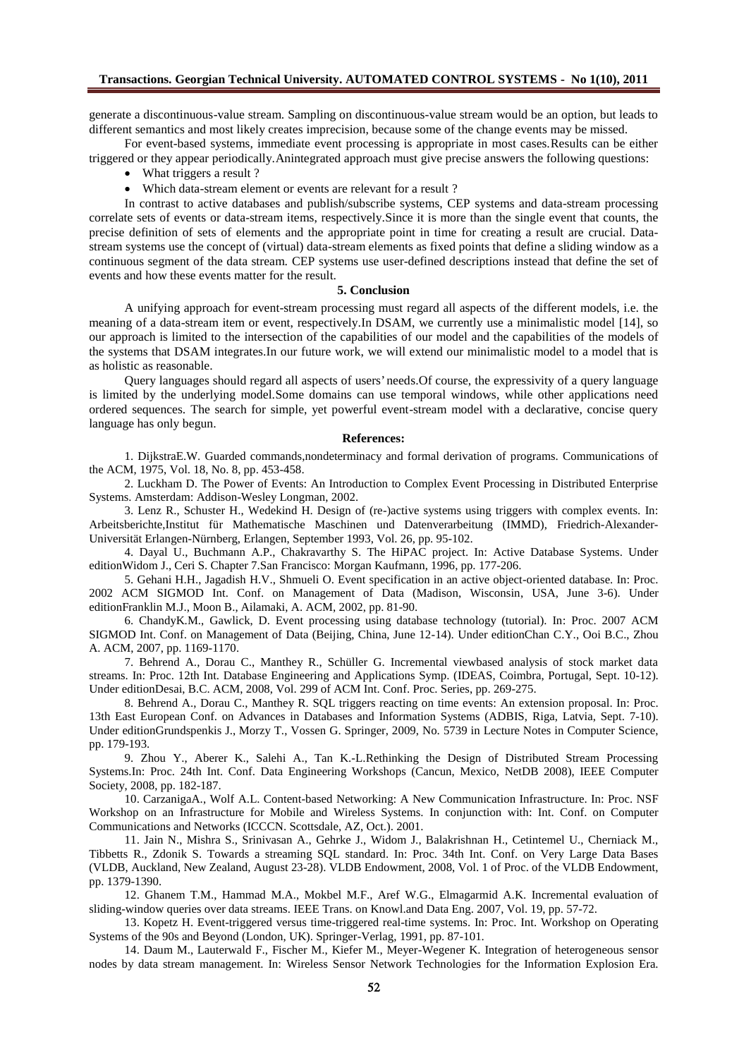# **Transactions. Georgian Technical University. AUTOMATED CONTROL SYSTEMS - No 1(10), 2011**

generate a discontinuous-value stream. Sampling on discontinuous-value stream would be an option, but leads to different semantics and most likely creates imprecision, because some of the change events may be missed.

For event-based systems, immediate event processing is appropriate in most cases.Results can be either triggered or they appear periodically.Anintegrated approach must give precise answers the following questions:

- What triggers a result ?
- Which data-stream element or events are relevant for a result ?

In contrast to active databases and publish/subscribe systems, CEP systems and data-stream processing correlate sets of events or data-stream items, respectively.Since it is more than the single event that counts, the precise definition of sets of elements and the appropriate point in time for creating a result are crucial. Datastream systems use the concept of (virtual) data-stream elements as fixed points that define a sliding window as a continuous segment of the data stream. CEP systems use user-defined descriptions instead that define the set of events and how these events matter for the result.

### **5. Conclusion**

A unifying approach for event-stream processing must regard all aspects of the different models, i.e. the meaning of a data-stream item or event, respectively.In DSAM, we currently use a minimalistic model [14], so our approach is limited to the intersection of the capabilities of our model and the capabilities of the models of the systems that DSAM integrates.In our future work, we will extend our minimalistic model to a model that is as holistic as reasonable.

Query languages should regard all aspects of users' needs.Of course, the expressivity of a query language is limited by the underlying model.Some domains can use temporal windows, while other applications need ordered sequences. The search for simple, yet powerful event-stream model with a declarative, concise query language has only begun.

### **References:**

1. DijkstraE.W. Guarded commands,nondeterminacy and formal derivation of programs. Communications of the ACM, 1975, Vol. 18, No. 8, pp. 453-458.

2. Luckham D. The Power of Events: An Introduction to Complex Event Processing in Distributed Enterprise Systems. Amsterdam: Addison-Wesley Longman, 2002.

3. Lenz R., Schuster H., Wedekind H. Design of (re-)active systems using triggers with complex events. In: Arbeitsberichte,Institut für Mathematische Maschinen und Datenverarbeitung (IMMD), Friedrich-Alexander-Universität Erlangen-Nürnberg, Erlangen, September 1993, Vol. 26, pp. 95-102.

4. Dayal U., Buchmann A.P., Chakravarthy S. The HiPAC project. In: Active Database Systems. Under editionWidom J., Ceri S. Chapter 7.San Francisco: Morgan Kaufmann, 1996, pp. 177-206.

5. Gehani H.H., Jagadish H.V., Shmueli O. Event specification in an active object-oriented database. In: Proc. 2002 ACM SIGMOD Int. Conf. on Management of Data (Madison, Wisconsin, USA, June 3-6). Under editionFranklin M.J., Moon B., Ailamaki, A. ACM, 2002, pp. 81-90.

6. ChandyK.M., Gawlick, D. Event processing using database technology (tutorial). In: Proc. 2007 ACM SIGMOD Int. Conf. on Management of Data (Beijing, China, June 12-14). Under editionChan C.Y., Ooi B.C., Zhou A. ACM, 2007, pp. 1169-1170.

7. Behrend A., Dorau C., Manthey R., Schüller G. Incremental viewbased analysis of stock market data streams. In: Proc. 12th Int. Database Engineering and Applications Symp. (IDEAS, Coimbra, Portugal, Sept. 10-12). Under editionDesai, B.C. ACM, 2008, Vol. 299 of ACM Int. Conf. Proc. Series, pp. 269-275.

8. Behrend A., Dorau C., Manthey R. SQL triggers reacting on time events: An extension proposal. In: Proc. 13th East European Conf. on Advances in Databases and Information Systems (ADBIS, Riga, Latvia, Sept. 7-10). Under editionGrundspenkis J., Morzy T., Vossen G. Springer, 2009, No. 5739 in Lecture Notes in Computer Science, pp. 179-193.

9. Zhou Y., Aberer K., Salehi A., Tan K.-L.Rethinking the Design of Distributed Stream Processing Systems.In: Proc. 24th Int. Conf. Data Engineering Workshops (Cancun, Mexico, NetDB 2008), IEEE Computer Society, 2008, pp. 182-187.

10. CarzanigaA., Wolf A.L. Content-based Networking: A New Communication Infrastructure. In: Proc. NSF Workshop on an Infrastructure for Mobile and Wireless Systems. In conjunction with: Int. Conf. on Computer Communications and Networks (ICCCN. Scottsdale, AZ, Oct.). 2001.

11. Jain N., Mishra S., Srinivasan A., Gehrke J., Widom J., Balakrishnan H., Cetintemel U., Cherniack M., Tibbetts R., Zdonik S. Towards a streaming SQL standard. In: Proc. 34th Int. Conf. on Very Large Data Bases (VLDB, Auckland, New Zealand, August 23-28). VLDB Endowment, 2008, Vol. 1 of Proc. of the VLDB Endowment, pp. 1379-1390.

12. Ghanem T.M., Hammad M.A., Mokbel M.F., Aref W.G., Elmagarmid A.K. Incremental evaluation of sliding-window queries over data streams. IEEE Trans. on Knowl.and Data Eng. 2007, Vol. 19, pp. 57-72.

13. Kopetz H. Event-triggered versus time-triggered real-time systems. In: Proc. Int. Workshop on Operating Systems of the 90s and Beyond (London, UK). Springer-Verlag, 1991, pp. 87-101.

14. Daum M., Lauterwald F., Fischer M., Kiefer M., Meyer-Wegener K. Integration of heterogeneous sensor nodes by data stream management. In: Wireless Sensor Network Technologies for the Information Explosion Era.